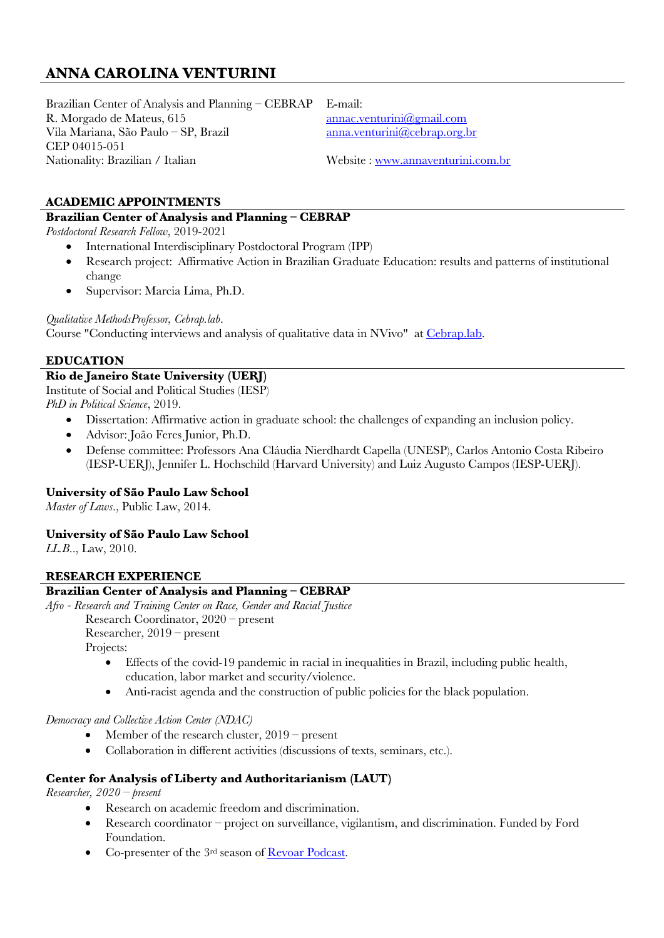# **ANNA CAROLINA VENTURINI**

Brazilian Center of Analysis and Planning – CEBRAP R. Morgado de Mateus, 615 Vila Mariana, São Paulo – SP, Brazil CEP 04015-051 Nationality: Brazilian / Italian

E-mail: annac.venturini@gmail.com anna.venturini@cebrap.org.br

Website : www.annaventurini.com.br

# **ACADEMIC APPOINTMENTS**

# **Brazilian Center of Analysis and Planning – CEBRAP**

*Postdoctoral Research Fellow*, 2019-2021

- International Interdisciplinary Postdoctoral Program (IPP)
- Research project: Affirmative Action in Brazilian Graduate Education: results and patterns of institutional change
- Supervisor: Marcia Lima, Ph.D.

*Qualitative MethodsProfessor, Cebrap.lab*.

Course "Conducting interviews and analysis of qualitative data in NVivo" at Cebrap.lab.

### **EDUCATION**

# **Rio de Janeiro State University (UERJ)**

Institute of Social and Political Studies (IESP)

*PhD in Political Science*, 2019.

- Dissertation: Affirmative action in graduate school: the challenges of expanding an inclusion policy.
- Advisor: João Feres Junior, Ph.D.
- Defense committee: Professors Ana Cláudia Nierdhardt Capella (UNESP), Carlos Antonio Costa Ribeiro (IESP-UERJ), Jennifer L. Hochschild (Harvard University) and Luiz Augusto Campos (IESP-UERJ).

# **University of São Paulo Law School**

*Master of Laws*., Public Law, 2014.

# **University of São Paulo Law School**

*LL.B*.., Law, 2010.

# **RESEARCH EXPERIENCE**

# **Brazilian Center of Analysis and Planning – CEBRAP**

*Afro - Research and Training Center on Race, Gender and Racial Justice* 

Research Coordinator, 2020 – present

Researcher, 2019 – present

Projects:

- Effects of the covid-19 pandemic in racial in inequalities in Brazil, including public health, education, labor market and security/violence.
- Anti-racist agenda and the construction of public policies for the black population.

*Democracy and Collective Action Center (NDAC)*

- Member of the research cluster,  $2019$  present
- Collaboration in different activities (discussions of texts, seminars, etc.).

# **Center for Analysis of Liberty and Authoritarianism (LAUT)**

*Researcher, 2020 – present*

- Research on academic freedom and discrimination.
- Research coordinator project on surveillance, vigilantism, and discrimination. Funded by Ford Foundation.
- Co-presenter of the 3rd season of Revoar Podcast.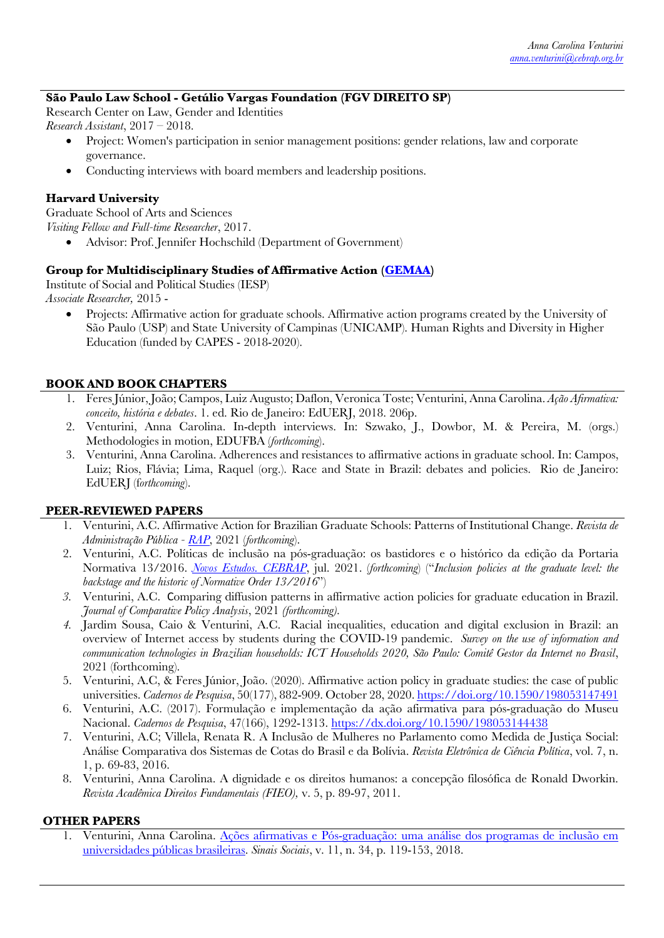### **São Paulo Law School - Getúlio Vargas Foundation (FGV DIREITO SP)**

Research Center on Law, Gender and Identities *Research Assistant*, 2017 – 2018.

- Project: Women's participation in senior management positions: gender relations, law and corporate governance.
- Conducting interviews with board members and leadership positions.

### **Harvard University**

Graduate School of Arts and Sciences *Visiting Fellow and Full-time Researcher*, 2017.

• Advisor: Prof. Jennifer Hochschild (Department of Government)

### **Group for Multidisciplinary Studies of Affirmative Action (GEMAA)**

Institute of Social and Political Studies (IESP)

*Associate Researcher,* 2015 -

• Projects: Affirmative action for graduate schools. Affirmative action programs created by the University of São Paulo (USP) and State University of Campinas (UNICAMP). Human Rights and Diversity in Higher Education (funded by CAPES - 2018-2020).

### **BOOK AND BOOK CHAPTERS**

- 1. Feres Júnior, João; Campos, Luiz Augusto; Daflon, Veronica Toste; Venturini, Anna Carolina. *Ação Afirmativa: conceito, história e debates*. 1. ed. Rio de Janeiro: EdUERJ, 2018. 206p.
- 2. Venturini, Anna Carolina. In-depth interviews. In: Szwako, J., Dowbor, M. & Pereira, M. (orgs.) Methodologies in motion, EDUFBA (*forthcoming*).
- 3. Venturini, Anna Carolina. Adherences and resistances to affirmative actions in graduate school. In: Campos, Luiz; Rios, Flávia; Lima, Raquel (org.). Race and State in Brazil: debates and policies. Rio de Janeiro: EdUERJ (f*orthcoming*).

# **PEER-REVIEWED PAPERS**

- 1. Venturini, A.C. Affirmative Action for Brazilian Graduate Schools: Patterns of Institutional Change. *Revista de Administração Pública - RAP*, 2021 (*forthcoming*).
- 2. Venturini, A.C. Políticas de inclusão na pós-graduação: os bastidores e o histórico da edição da Portaria Normativa 13/2016. *Novos Estudos. CEBRAP*, jul. 2021. (*forthcoming*) ("*Inclusion policies at the graduate level: the backstage and the historic of Normative Order 13/2016*")
- *3.* Venturini, A.C. Comparing diffusion patterns in affirmative action policies for graduate education in Brazil. *Journal of Comparative Policy Analysis*, 2021 *(forthcoming).*
- *4.* Jardim Sousa, Caio & Venturini, A.C. Racial inequalities, education and digital exclusion in Brazil: an overview of Internet access by students during the COVID-19 pandemic. *Survey on the use of information and communication technologies in Brazilian households: ICT Households 2020, São Paulo: Comitê Gestor da Internet no Brasil*, 2021 (forthcoming).
- 5. Venturini, A.C, & Feres Júnior, João. (2020). Affirmative action policy in graduate studies: the case of public universities. *Cadernos de Pesquisa*, 50(177), 882-909. October 28, 2020. https://doi.org/10.1590/198053147491
- 6. Venturini, A.C. (2017). Formulação e implementação da ação afirmativa para pós-graduação do Museu Nacional. *Cadernos de Pesquisa*, 47(166), 1292-1313. https://dx.doi.org/10.1590/198053144438
- 7. Venturini, A.C; Villela, Renata R. A Inclusão de Mulheres no Parlamento como Medida de Justiça Social: Análise Comparativa dos Sistemas de Cotas do Brasil e da Bolívia. *Revista Eletrônica de Ciência Política*, vol. 7, n. 1, p. 69-83, 2016.
- 8. Venturini, Anna Carolina. A dignidade e os direitos humanos: a concepção filosófica de Ronald Dworkin. *Revista Acadêmica Direitos Fundamentais (FIEO),* v. 5, p. 89-97, 2011.

### **OTHER PAPERS**

1. Venturini, Anna Carolina. Ações afirmativas e Pós-graduação: uma análise dos programas de inclusão em universidades públicas brasileiras. *Sinais Sociais*, v. 11, n. 34, p. 119-153, 2018.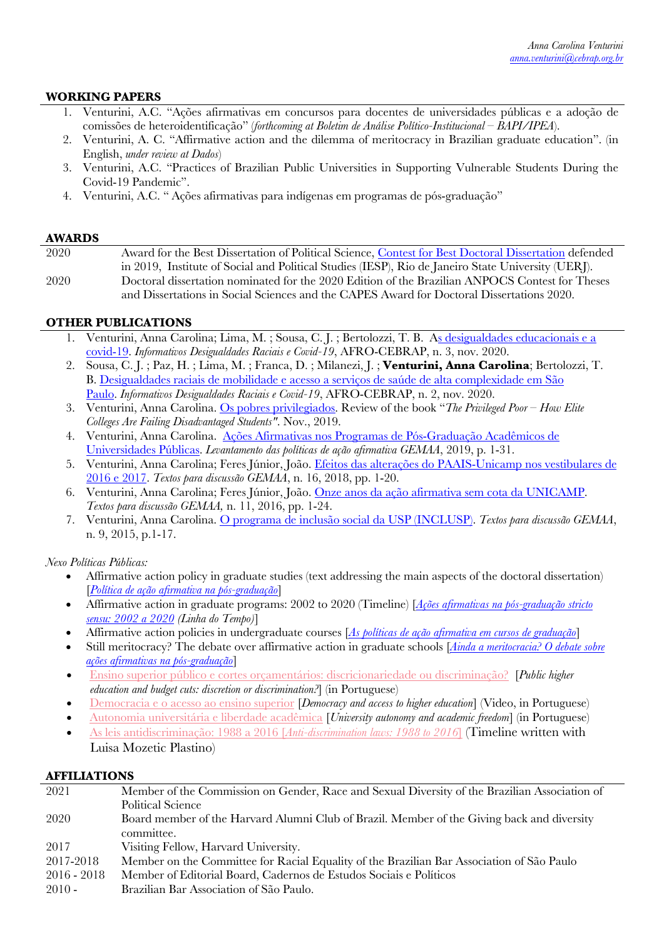### **WORKING PAPERS**

- 1. Venturini, A.C. "Ações afirmativas em concursos para docentes de universidades públicas e a adoção de comissões de heteroidentificação" (*forthcoming at Boletim de Análise Político-Institucional – BAPI/IPEA*).
- 2. Venturini, A. C. "Affirmative action and the dilemma of meritocracy in Brazilian graduate education". (in English, *under review at Dados*)
- 3. Venturini, A.C. "Practices of Brazilian Public Universities in Supporting Vulnerable Students During the Covid-19 Pandemic".
- 4. Venturini, A.C. " Ações afirmativas para indígenas em programas de pós-graduação"

#### **AWARDS**

| 2020 | Award for the Best Dissertation of Political Science, Contest for Best Doctoral Dissertation defended |
|------|-------------------------------------------------------------------------------------------------------|
|      | in 2019, Institute of Social and Political Studies (IESP), Rio de Janeiro State University (UERJ).    |
| 2020 | Doctoral dissertation nominated for the 2020 Edition of the Brazilian ANPOCS Contest for Theses       |
|      | and Dissertations in Social Sciences and the CAPES Award for Doctoral Dissertations 2020.             |

### **OTHER PUBLICATIONS**

- 1. Venturini, Anna Carolina; Lima, M. ; Sousa, C. J. ; Bertolozzi, T. B. As desigualdades educacionais e a covid-19. *Informativos Desigualdades Raciais e Covid-19*, AFRO-CEBRAP, n. 3, nov. 2020.
- 2. Sousa, C. J. ; Paz, H. ; Lima, M. ; Franca, D. ; Milanezi, J. ; **Venturini, Anna Carolina**; Bertolozzi, T. B. Desigualdades raciais de mobilidade e acesso a serviços de saúde de alta complexidade em São Paulo. *Informativos Desigualdades Raciais e Covid-19*, AFRO-CEBRAP, n. 2, nov. 2020.
- 3. Venturini, Anna Carolina. Os pobres privilegiados. Review of the book "*The Privileged Poor – How Elite Colleges Are Failing Disadvantaged Students"*. Nov., 2019.
- 4. Venturini, Anna Carolina. Ações Afirmativas nos Programas de Pós-Graduação Acadêmicos de Universidades Públicas. *Levantamento das políticas de ação afirmativa GEMAA*, 2019, p. 1-31.
- 5. Venturini, Anna Carolina; Feres Júnior, João. Efeitos das alterações do PAAIS-Unicamp nos vestibulares de 2016 e 2017. *Textos para discussão GEMAA*, n. 16, 2018, pp. 1-20.
- 6. Venturini, Anna Carolina; Feres Júnior, João. Onze anos da ação afirmativa sem cota da UNICAMP. *Textos para discussão GEMAA,* n. 11, 2016, pp. 1-24.
- 7. Venturini, Anna Carolina. O programa de inclusão social da USP (INCLUSP). *Textos para discussão GEMAA*, n. 9, 2015, p.1-17.

*Nexo Políticas Públicas:* 

- Affirmative action policy in graduate studies (text addressing the main aspects of the doctoral dissertation) [*Política de ação afirmativa na pós-graduação*]
- Affirmative action in graduate programs: 2002 to 2020 (Timeline) [*Ações afirmativas na pós-graduação stricto sensu: 2002 a 2020 (Linha do Tempo)*]
- Affirmative action policies in undergraduate courses [*As políticas de ação afirmativa em cursos de graduação*]
- Still meritocracy? The debate over affirmative action in graduate schools [*Ainda a meritocracia? O debate sobre ações afirmativas na pós-graduação*]
- Ensino superior público e cortes orçamentários: discricionariedade ou discriminação? [*Public higher education and budget cuts: discretion or discrimination?*] (in Portuguese)
- Democracia e o acesso ao ensino superior [*Democracy and access to higher education*] (Video, in Portuguese)
- Autonomia universitária e liberdade acadêmica [*University autonomy and academic freedom*] (in Portuguese)
- As leis antidiscriminação: 1988 a 2016 [*Anti-discrimination laws: 1988 to 2016*] (Timeline written with Luisa Mozetic Plastino)

### **AFFILIATIONS**

| 2021          | Member of the Commission on Gender, Race and Sexual Diversity of the Brazilian Association of |
|---------------|-----------------------------------------------------------------------------------------------|
|               | Political Science                                                                             |
| 2020          | Board member of the Harvard Alumni Club of Brazil. Member of the Giving back and diversity    |
|               | committee.                                                                                    |
| 2017          | Visiting Fellow, Harvard University.                                                          |
| 2017-2018     | Member on the Committee for Racial Equality of the Brazilian Bar Association of São Paulo     |
| $2016 - 2018$ | Member of Editorial Board, Cadernos de Estudos Sociais e Políticos                            |
| $2010 -$      | Brazilian Bar Association of São Paulo.                                                       |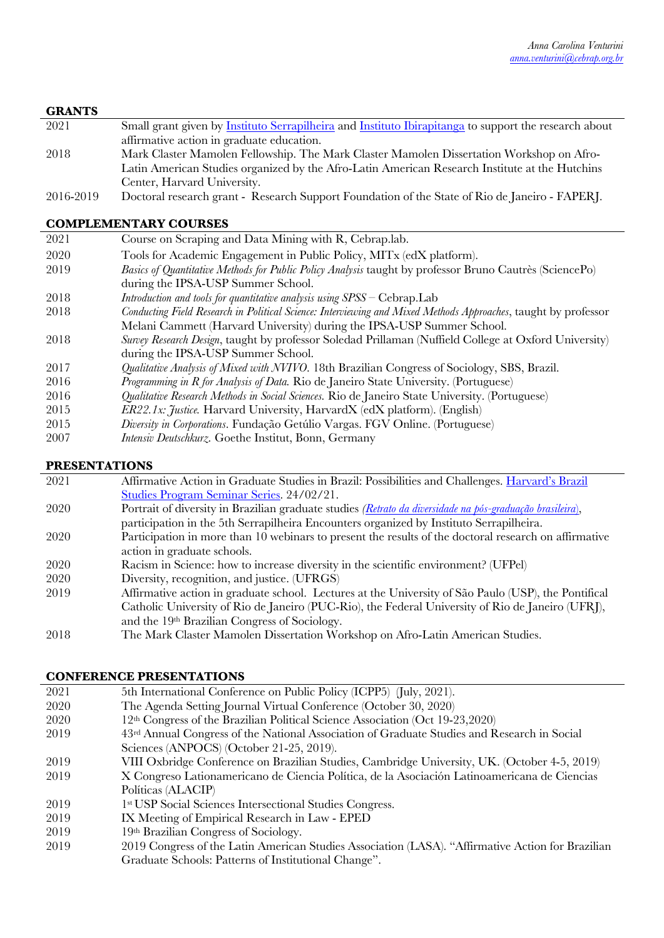# **GRANTS**

- 2021 Small grant given by Instituto Serrapilheira and Instituto Ibirapitanga to support the research about affirmative action in graduate education. 2018 Mark Claster Mamolen Fellowship. The Mark Claster Mamolen Dissertation Workshop on Afro-Latin American Studies organized by the Afro-Latin American Research Institute at the Hutchins Center, Harvard University.
- 2016-2019 Doctoral research grant Research Support Foundation of the State of Rio de Janeiro FAPERJ.

# **COMPLEMENTARY COURSES**

| 2021 | Course on Scraping and Data Mining with R, Cebrap.lab.                                                         |
|------|----------------------------------------------------------------------------------------------------------------|
| 2020 | Tools for Academic Engagement in Public Policy, MITx (edX platform).                                           |
| 2019 | Basics of Quantitative Methods for Public Policy Analysis taught by professor Bruno Cautrès (SciencePo)        |
|      | during the IPSA-USP Summer School.                                                                             |
| 2018 | Introduction and tools for quantitative analysis using $SPSS - Cebrap.Lab$                                     |
| 2018 | Conducting Field Research in Political Science: Interviewing and Mixed Methods Approaches, taught by professor |
|      | Melani Cammett (Harvard University) during the IPSA-USP Summer School.                                         |
| 2018 | Survey Research Design, taught by professor Soledad Prillaman (Nuffield College at Oxford University)          |
|      | during the IPSA-USP Summer School.                                                                             |
| 2017 | Qualitative Analysis of Mixed with NVIVO. 18th Brazilian Congress of Sociology, SBS, Brazil.                   |
| 2016 | Programming in R for Analysis of Data. Rio de Janeiro State University. (Portuguese)                           |
| 2016 | Qualitative Research Methods in Social Sciences. Rio de Janeiro State University. (Portuguese)                 |
| 2015 | <i>ER22.1x: Justice.</i> Harvard University, HarvardX (edX platform). (English)                                |
| 2015 | Diversity in Corporations. Fundação Getúlio Vargas. FGV Online. (Portuguese)                                   |
| 2007 | Intensiv Deutschkurz. Goethe Institut, Bonn, Germany                                                           |

# **PRESENTATIONS**

| 2021 | Affirmative Action in Graduate Studies in Brazil: Possibilities and Challenges. Harvard's Brazil          |
|------|-----------------------------------------------------------------------------------------------------------|
|      | Studies Program Seminar Series. 24/02/21.                                                                 |
| 2020 | Portrait of diversity in Brazilian graduate studies (Retrato da diversidade na pós-graduação brasileira), |
|      | participation in the 5th Serrapilheira Encounters organized by Instituto Serrapilheira.                   |
| 2020 | Participation in more than 10 webinars to present the results of the doctoral research on affirmative     |
|      | action in graduate schools.                                                                               |
| 2020 | Racism in Science: how to increase diversity in the scientific environment? (UFPel)                       |
| 2020 | Diversity, recognition, and justice. (UFRGS)                                                              |
| 2019 | Affirmative action in graduate school. Lectures at the University of São Paulo (USP), the Pontifical      |
|      | Catholic University of Rio de Janeiro (PUC-Rio), the Federal University of Rio de Janeiro (UFRJ),         |
|      | and the 19th Brazilian Congress of Sociology.                                                             |
| 2018 | The Mark Claster Mamolen Dissertation Workshop on Afro-Latin American Studies.                            |

# **CONFERENCE PRESENTATIONS**

| 2021 | 5th International Conference on Public Policy (ICPP5) (July, 2021).                               |
|------|---------------------------------------------------------------------------------------------------|
| 2020 | The Agenda Setting Journal Virtual Conference (October 30, 2020)                                  |
| 2020 | 12th Congress of the Brazilian Political Science Association (Oct 19-23,2020)                     |
| 2019 | 43rd Annual Congress of the National Association of Graduate Studies and Research in Social       |
|      | Sciences (ANPOCS) (October 21-25, 2019).                                                          |
| 2019 | VIII Oxbridge Conference on Brazilian Studies, Cambridge University, UK. (October 4-5, 2019)      |
| 2019 | X Congreso Lationamericano de Ciencia Política, de la Asociación Latinoamericana de Ciencias      |
|      | Políticas (ALACIP)                                                                                |
| 2019 | 1 <sup>st</sup> USP Social Sciences Intersectional Studies Congress.                              |
| 2019 | IX Meeting of Empirical Research in Law - EPED                                                    |
| 2019 | 19th Brazilian Congress of Sociology.                                                             |
| 2019 | 2019 Congress of the Latin American Studies Association (LASA). "Affirmative Action for Brazilian |

Graduate Schools: Patterns of Institutional Change".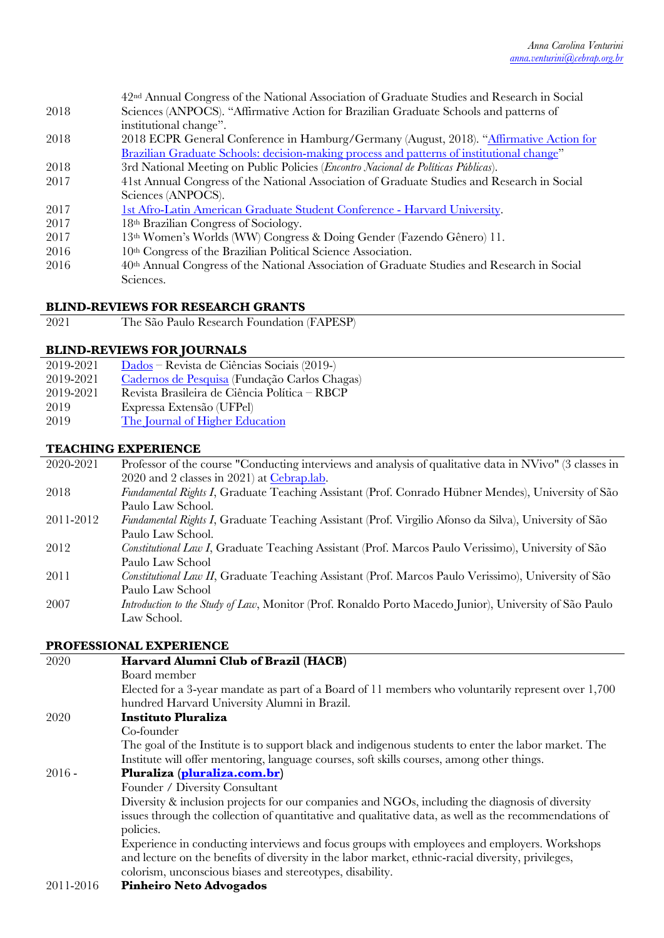- 2018 42nd Annual Congress of the National Association of Graduate Studies and Research in Social Sciences (ANPOCS). "Affirmative Action for Brazilian Graduate Schools and patterns of institutional change".
- 2018 2018 ECPR General Conference in Hamburg/Germany (August, 2018). "Affirmative Action for Brazilian Graduate Schools: decision-making process and patterns of institutional change"
- 2018 3rd National Meeting on Public Policies (*Encontro Nacional de Políticas Públicas*).
- 2017 41st Annual Congress of the National Association of Graduate Studies and Research in Social Sciences (ANPOCS).
- 2017 1st Afro-Latin American Graduate Student Conference Harvard University.
- 2017 18th Brazilian Congress of Sociology.
- 2017 13th Women's Worlds (WW) Congress & Doing Gender (Fazendo Gênero) 11.
- 2016 10th Congress of the Brazilian Political Science Association.
- 2016 40th Annual Congress of the National Association of Graduate Studies and Research in Social Sciences.

### **BLIND-REVIEWS FOR RESEARCH GRANTS**

| 2021 |  | The São Paulo Research Foundation (FAPESP) |  |  |  |
|------|--|--------------------------------------------|--|--|--|
|------|--|--------------------------------------------|--|--|--|

#### **BLIND-REVIEWS FOR JOURNALS**

| 2019-2021 | Dados – Revista de Ciências Sociais (2019-)   |
|-----------|-----------------------------------------------|
| 2019-2021 | Cadernos de Pesquisa (Fundação Carlos Chagas) |
| 2019-2021 | Revista Brasileira de Ciência Política – RBCP |
| 2019      | Expressa Extensão (UFPel)                     |
| 2019      | The Journal of Higher Education               |

#### **TEACHING EXPERIENCE**

- 2020-2021 Professor of the course "Conducting interviews and analysis of qualitative data in NVivo" (3 classes in 2020 and 2 classes in 2021) at Cebrap.lab.
- 2018 *Fundamental Rights I*, Graduate Teaching Assistant (Prof. Conrado Hübner Mendes), University of São Paulo Law School.
- 2011-2012 *Fundamental Rights I*, Graduate Teaching Assistant (Prof. Virgilio Afonso da Silva), University of São Paulo Law School.
- 2012 *Constitutional Law I*, Graduate Teaching Assistant (Prof. Marcos Paulo Verissimo), University of São Paulo Law School
- 2011 *Constitutional Law II*, Graduate Teaching Assistant (Prof. Marcos Paulo Verissimo), University of São Paulo Law School
- 2007 *Introduction to the Study of Law*, Monitor (Prof. Ronaldo Porto Macedo Junior), University of São Paulo Law School.

### **PROFESSIONAL EXPERIENCE**

| 2020      | Harvard Alumni Club of Brazil (HACB)                                                                  |
|-----------|-------------------------------------------------------------------------------------------------------|
|           | Board member                                                                                          |
|           | Elected for a 3-year mandate as part of a Board of 11 members who voluntarily represent over 1,700    |
|           | hundred Harvard University Alumni in Brazil.                                                          |
| 2020      | <b>Instituto Pluraliza</b>                                                                            |
|           | Co-founder                                                                                            |
|           | The goal of the Institute is to support black and indigenous students to enter the labor market. The  |
|           | Institute will offer mentoring, language courses, soft skills courses, among other things.            |
| $2016 -$  | Pluraliza (pluraliza.com.br)                                                                          |
|           | Founder / Diversity Consultant                                                                        |
|           | Diversity & inclusion projects for our companies and NGOs, including the diagnosis of diversity       |
|           | issues through the collection of quantitative and qualitative data, as well as the recommendations of |
|           | policies.                                                                                             |
|           | Experience in conducting interviews and focus groups with employees and employers. Workshops          |
|           | and lecture on the benefits of diversity in the labor market, ethnic-racial diversity, privileges,    |
|           | colorism, unconscious biases and stereotypes, disability.                                             |
| 2011-2016 | <b>Pinheiro Neto Advogados</b>                                                                        |